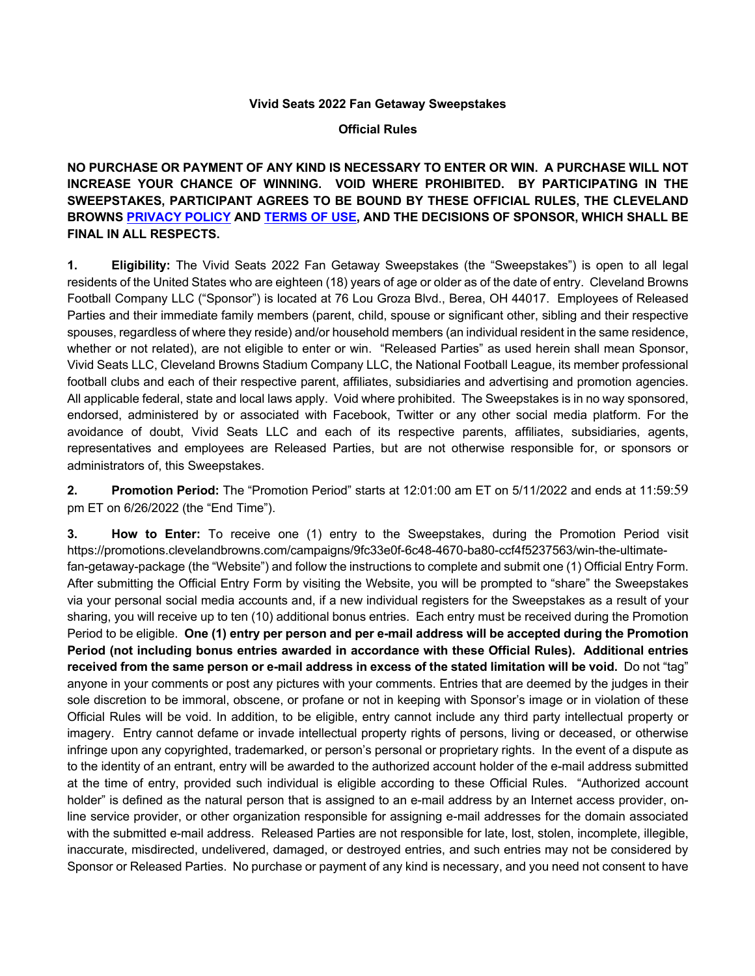## **Vivid Seats 2022 Fan Getaway Sweepstakes**

## **Official Rules**

**NO PURCHASE OR PAYMENT OF ANY KIND IS NECESSARY TO ENTER OR WIN. A PURCHASE WILL NOT INCREASE YOUR CHANCE OF WINNING. VOID WHERE PROHIBITED. BY PARTICIPATING IN THE SWEEPSTAKES, PARTICIPANT AGREES TO BE BOUND BY THESE OFFICIAL RULES, THE CLEVELAND BROWNS PRIVACY POLICY AND TERMS OF USE, AND THE DECISIONS OF SPONSOR, WHICH SHALL BE FINAL IN ALL RESPECTS.** 

**1. Eligibility:** The Vivid Seats 2022 Fan Getaway Sweepstakes (the "Sweepstakes") is open to all legal residents of the United States who are eighteen (18) years of age or older as of the date of entry. Cleveland Browns Football Company LLC ("Sponsor") is located at 76 Lou Groza Blvd., Berea, OH 44017. Employees of Released Parties and their immediate family members (parent, child, spouse or significant other, sibling and their respective spouses, regardless of where they reside) and/or household members (an individual resident in the same residence, whether or not related), are not eligible to enter or win. "Released Parties" as used herein shall mean Sponsor, Vivid Seats LLC, Cleveland Browns Stadium Company LLC, the National Football League, its member professional football clubs and each of their respective parent, affiliates, subsidiaries and advertising and promotion agencies. All applicable federal, state and local laws apply. Void where prohibited. The Sweepstakes is in no way sponsored, endorsed, administered by or associated with Facebook, Twitter or any other social media platform. For the avoidance of doubt, Vivid Seats LLC and each of its respective parents, affiliates, subsidiaries, agents, representatives and employees are Released Parties, but are not otherwise responsible for, or sponsors or administrators of, this Sweepstakes.

**2. Promotion Period:** The "Promotion Period" starts at 12:01:00 am ET on 5/11/2022 and ends at 11:59:59 pm ET on 6/26/2022 (the "End Time").

**3. How to Enter:** To receive one (1) entry to the Sweepstakes, during the Promotion Period visit https://promotions.clevelandbrowns.com/campaigns/9fc33e0f-6c48-4670-ba80-ccf4f5237563/win-the-ultimatefan-getaway-package (the "Website") and follow the instructions to complete and submit one (1) Official Entry Form. After submitting the Official Entry Form by visiting the Website, you will be prompted to "share" the Sweepstakes via your personal social media accounts and, if a new individual registers for the Sweepstakes as a result of your sharing, you will receive up to ten (10) additional bonus entries. Each entry must be received during the Promotion Period to be eligible. **One (1) entry per person and per e-mail address will be accepted during the Promotion Period (not including bonus entries awarded in accordance with these Official Rules). Additional entries received from the same person or e-mail address in excess of the stated limitation will be void.** Do not "tag" anyone in your comments or post any pictures with your comments. Entries that are deemed by the judges in their sole discretion to be immoral, obscene, or profane or not in keeping with Sponsor's image or in violation of these Official Rules will be void. In addition, to be eligible, entry cannot include any third party intellectual property or imagery. Entry cannot defame or invade intellectual property rights of persons, living or deceased, or otherwise infringe upon any copyrighted, trademarked, or person's personal or proprietary rights. In the event of a dispute as to the identity of an entrant, entry will be awarded to the authorized account holder of the e-mail address submitted at the time of entry, provided such individual is eligible according to these Official Rules. "Authorized account holder" is defined as the natural person that is assigned to an e-mail address by an Internet access provider, online service provider, or other organization responsible for assigning e-mail addresses for the domain associated with the submitted e-mail address. Released Parties are not responsible for late, lost, stolen, incomplete, illegible, inaccurate, misdirected, undelivered, damaged, or destroyed entries, and such entries may not be considered by Sponsor or Released Parties. No purchase or payment of any kind is necessary, and you need not consent to have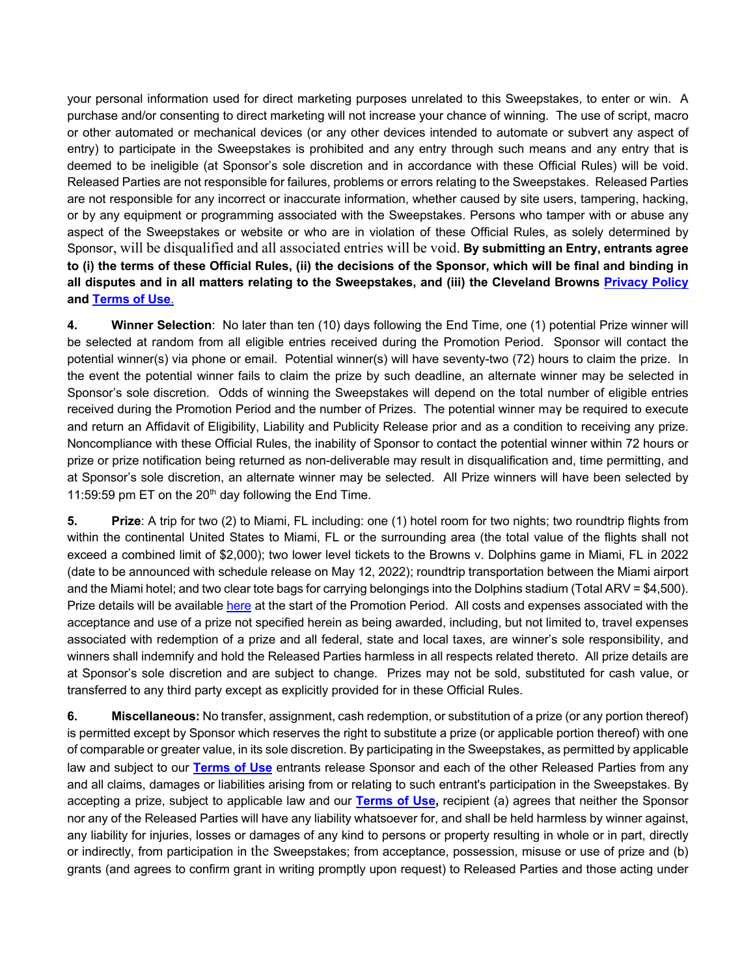your personal information used for direct marketing purposes unrelated to this Sweepstakes, to enter or win. A purchase and/or consenting to direct marketing will not increase your chance of winning. The use of script, macro or other automated or mechanical devices (or any other devices intended to automate or subvert any aspect of entry) to participate in the Sweepstakes is prohibited and any entry through such means and any entry that is deemed to be ineligible (at Sponsor's sole discretion and in accordance with these Official Rules) will be void. Released Parties are not responsible for failures, problems or errors relating to the Sweepstakes. Released Parties are not responsible for any incorrect or inaccurate information, whether caused by site users, tampering, hacking, or by any equipment or programming associated with the Sweepstakes. Persons who tamper with or abuse any aspect of the Sweepstakes or website or who are in violation of these Official Rules, as solely determined by Sponsor, will be disqualified and all associated entries will be void. **By submitting an Entry, entrants agree to (i) the terms of these Official Rules, (ii) the decisions of the Sponsor, which will be final and binding in all disputes and in all matters relating to the Sweepstakes, and (iii) the Cleveland Browns Privacy Policy and Terms of Use**.

**4. Winner Selection**: No later than ten (10) days following the End Time, one (1) potential Prize winner will be selected at random from all eligible entries received during the Promotion Period. Sponsor will contact the potential winner(s) via phone or email. Potential winner(s) will have seventy-two (72) hours to claim the prize. In the event the potential winner fails to claim the prize by such deadline, an alternate winner may be selected in Sponsor's sole discretion. Odds of winning the Sweepstakes will depend on the total number of eligible entries received during the Promotion Period and the number of Prizes. The potential winner may be required to execute and return an Affidavit of Eligibility, Liability and Publicity Release prior and as a condition to receiving any prize. Noncompliance with these Official Rules, the inability of Sponsor to contact the potential winner within 72 hours or prize or prize notification being returned as non-deliverable may result in disqualification and, time permitting, and at Sponsor's sole discretion, an alternate winner may be selected. All Prize winners will have been selected by 11:59:59 pm ET on the  $20<sup>th</sup>$  day following the End Time.

**5. Prize**: A trip for two (2) to Miami, FL including: one (1) hotel room for two nights; two roundtrip flights from within the continental United States to Miami, FL or the surrounding area (the total value of the flights shall not exceed a combined limit of \$2,000); two lower level tickets to the Browns v. Dolphins game in Miami, FL in 2022 (date to be announced with schedule release on May 12, 2022); roundtrip transportation between the Miami airport and the Miami hotel; and two clear tote bags for carrying belongings into the Dolphins stadium (Total ARV = \$4,500). Prize details will be available here at the start of the Promotion Period. All costs and expenses associated with the acceptance and use of a prize not specified herein as being awarded, including, but not limited to, travel expenses associated with redemption of a prize and all federal, state and local taxes, are winner's sole responsibility, and winners shall indemnify and hold the Released Parties harmless in all respects related thereto. All prize details are at Sponsor's sole discretion and are subject to change. Prizes may not be sold, substituted for cash value, or transferred to any third party except as explicitly provided for in these Official Rules.

**6. Miscellaneous:** No transfer, assignment, cash redemption, or substitution of a prize (or any portion thereof) is permitted except by Sponsor which reserves the right to substitute a prize (or applicable portion thereof) with one of comparable or greater value, in its sole discretion. By participating in the Sweepstakes, as permitted by applicable law and subject to our **Terms of Use** entrants release Sponsor and each of the other Released Parties from any and all claims, damages or liabilities arising from or relating to such entrant's participation in the Sweepstakes. By accepting a prize, subject to applicable law and our **Terms of Use,** recipient (a) agrees that neither the Sponsor nor any of the Released Parties will have any liability whatsoever for, and shall be held harmless by winner against, any liability for injuries, losses or damages of any kind to persons or property resulting in whole or in part, directly or indirectly, from participation in the Sweepstakes; from acceptance, possession, misuse or use of prize and (b) grants (and agrees to confirm grant in writing promptly upon request) to Released Parties and those acting under